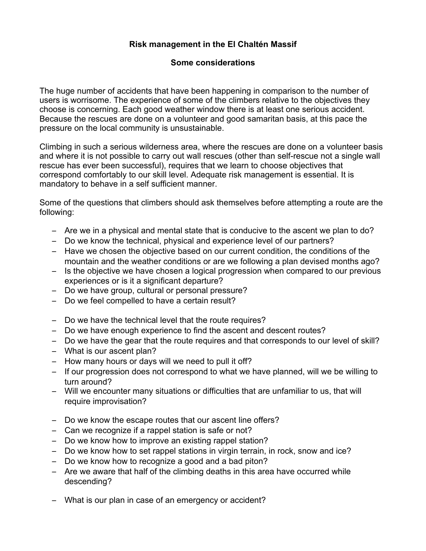## **Risk management in the El Chaltén Massif**

## **Some considerations**

The huge number of accidents that have been happening in comparison to the number of users is worrisome. The experience of some of the climbers relative to the objectives they choose is concerning. Each good weather window there is at least one serious accident. Because the rescues are done on a volunteer and good samaritan basis, at this pace the pressure on the local community is unsustainable.

Climbing in such a serious wilderness area, where the rescues are done on a volunteer basis and where it is not possible to carry out wall rescues (other than self-rescue not a single wall rescue has ever been successful), requires that we learn to choose objectives that correspond comfortably to our skill level. Adequate risk management is essential. It is mandatory to behave in a self sufficient manner.

Some of the questions that climbers should ask themselves before attempting a route are the following:

- Are we in a physical and mental state that is conducive to the ascent we plan to do?
- Do we know the technical, physical and experience level of our partners?
- Have we chosen the objective based on our current condition, the conditions of the mountain and the weather conditions or are we following a plan devised months ago?
- Is the objective we have chosen a logical progression when compared to our previous experiences or is it a significant departure?
- Do we have group, cultural or personal pressure?
- Do we feel compelled to have a certain result?
- Do we have the technical level that the route requires?
- Do we have enough experience to find the ascent and descent routes?
- Do we have the gear that the route requires and that corresponds to our level of skill?
- What is our ascent plan?
- How many hours or days will we need to pull it off?
- If our progression does not correspond to what we have planned, will we be willing to turn around?
- Will we encounter many situations or difficulties that are unfamiliar to us, that will require improvisation?
- Do we know the escape routes that our ascent line offers?
- Can we recognize if a rappel station is safe or not?
- Do we know how to improve an existing rappel station?
- Do we know how to set rappel stations in virgin terrain, in rock, snow and ice?
- Do we know how to recognize a good and a bad piton?
- Are we aware that half of the climbing deaths in this area have occurred while descending?
- What is our plan in case of an emergency or accident?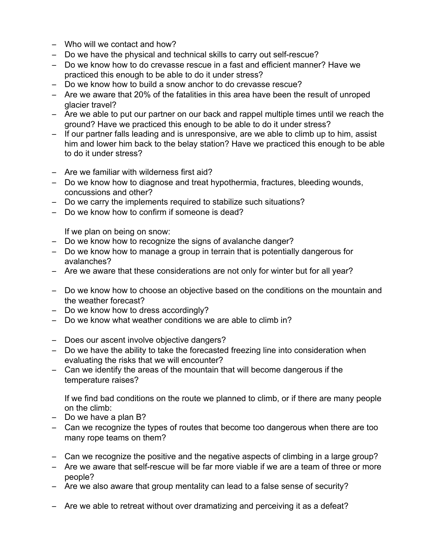- Who will we contact and how?
- Do we have the physical and technical skills to carry out self-rescue?
- Do we know how to do crevasse rescue in a fast and efficient manner? Have we practiced this enough to be able to do it under stress?
- Do we know how to build a snow anchor to do crevasse rescue?
- Are we aware that 20% of the fatalities in this area have been the result of unroped glacier travel?
- Are we able to put our partner on our back and rappel multiple times until we reach the ground? Have we practiced this enough to be able to do it under stress?
- If our partner falls leading and is unresponsive, are we able to climb up to him, assist him and lower him back to the belay station? Have we practiced this enough to be able to do it under stress?
- Are we familiar with wilderness first aid?
- Do we know how to diagnose and treat hypothermia, fractures, bleeding wounds, concussions and other?
- Do we carry the implements required to stabilize such situations?
- Do we know how to confirm if someone is dead?

If we plan on being on snow:

- Do we know how to recognize the signs of avalanche danger?
- Do we know how to manage a group in terrain that is potentially dangerous for avalanches?
- Are we aware that these considerations are not only for winter but for all year?
- Do we know how to choose an objective based on the conditions on the mountain and the weather forecast?
- Do we know how to dress accordingly?
- Do we know what weather conditions we are able to climb in?
- Does our ascent involve objective dangers?
- Do we have the ability to take the forecasted freezing line into consideration when evaluating the risks that we will encounter?
- Can we identify the areas of the mountain that will become dangerous if the temperature raises?

If we find bad conditions on the route we planned to climb, or if there are many people on the climb:

- Do we have a plan B?
- Can we recognize the types of routes that become too dangerous when there are too many rope teams on them?
- Can we recognize the positive and the negative aspects of climbing in a large group?
- Are we aware that self-rescue will be far more viable if we are a team of three or more people?
- Are we also aware that group mentality can lead to a false sense of security?
- Are we able to retreat without over dramatizing and perceiving it as a defeat?